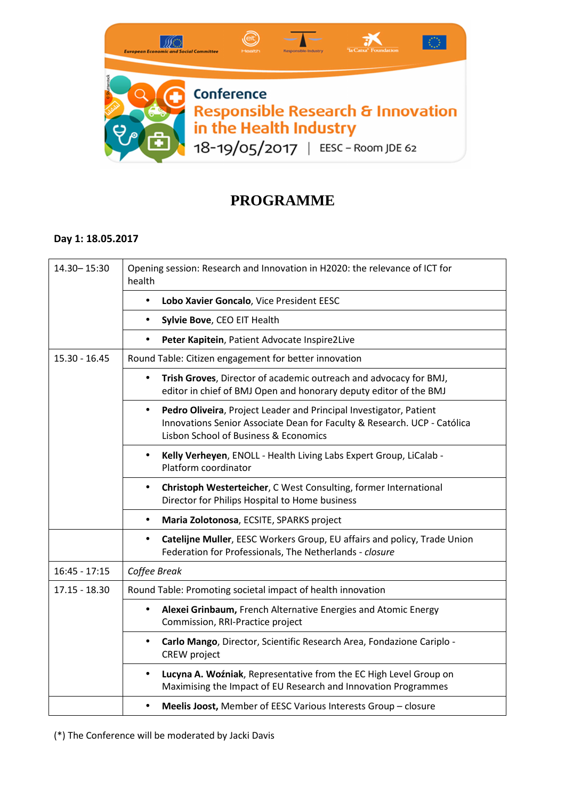

## **PROGRAMME**

## **Day 1: 18.05.2017**

| 14.30 - 15:30   | Opening session: Research and Innovation in H2020: the relevance of ICT for<br>health                                                                                                                |
|-----------------|------------------------------------------------------------------------------------------------------------------------------------------------------------------------------------------------------|
|                 | Lobo Xavier Goncalo, Vice President EESC<br>$\bullet$                                                                                                                                                |
|                 | Sylvie Bove, CEO EIT Health<br>$\bullet$                                                                                                                                                             |
|                 | Peter Kapitein, Patient Advocate Inspire2Live<br>$\bullet$                                                                                                                                           |
| $15.30 - 16.45$ | Round Table: Citizen engagement for better innovation                                                                                                                                                |
|                 | Trish Groves, Director of academic outreach and advocacy for BMJ,<br>$\bullet$<br>editor in chief of BMJ Open and honorary deputy editor of the BMJ                                                  |
|                 | Pedro Oliveira, Project Leader and Principal Investigator, Patient<br>$\bullet$<br>Innovations Senior Associate Dean for Faculty & Research. UCP - Católica<br>Lisbon School of Business & Economics |
|                 | Kelly Verheyen, ENOLL - Health Living Labs Expert Group, LiCalab -<br>$\bullet$<br>Platform coordinator                                                                                              |
|                 | Christoph Westerteicher, C West Consulting, former International<br>$\bullet$<br>Director for Philips Hospital to Home business                                                                      |
|                 | Maria Zolotonosa, ECSITE, SPARKS project<br>$\bullet$                                                                                                                                                |
|                 | Catelijne Muller, EESC Workers Group, EU affairs and policy, Trade Union<br>٠<br>Federation for Professionals, The Netherlands - closure                                                             |
| $16:45 - 17:15$ | Coffee Break                                                                                                                                                                                         |
| $17.15 - 18.30$ | Round Table: Promoting societal impact of health innovation                                                                                                                                          |
|                 | Alexei Grinbaum, French Alternative Energies and Atomic Energy<br>$\bullet$<br>Commission, RRI-Practice project                                                                                      |
|                 | Carlo Mango, Director, Scientific Research Area, Fondazione Cariplo -<br>$\bullet$<br>CREW project                                                                                                   |
|                 | Lucyna A. Woźniak, Representative from the EC High Level Group on<br>$\bullet$<br>Maximising the Impact of EU Research and Innovation Programmes                                                     |
|                 | Meelis Joost, Member of EESC Various Interests Group - closure                                                                                                                                       |

(\*) The Conference will be moderated by Jacki Davis